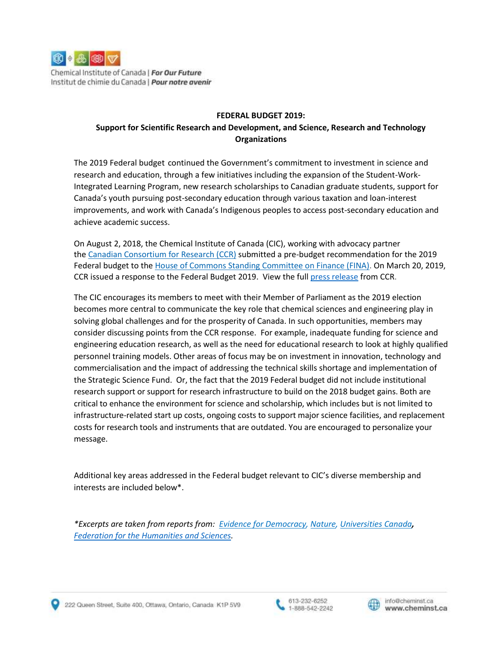

Chemical Institute of Canada | For Our Future Institut de chimie du Canada | Pour notre avenir

#### **FEDERAL BUDGET 2019:**

# **Support for Scientific Research and Development, and Science, Research and Technology Organizations**

The 2019 Federal budget continued the Government's commitment to investment in science and research and education, through a few initiatives including the expansion of the Student-Work-Integrated Learning Program, new research scholarships to Canadian graduate students, support for Canada's youth pursuing post-secondary education through various taxation and loan-interest improvements, and work with Canada's Indigenous peoples to access post-secondary education and achieve academic success.

On August 2, 2018, the Chemical Institute of Canada (CIC), working with advocacy partner the [Canadian Consortium for Research \(CCR\)](http://ccr-ccr.ca/) submitted a pre-budget recommendation for the 2019 Federal budget to the [House of Commons Standing Committee on Finance \(FINA\).](http://www.parl.gc.ca/Committees/en/FINA) On March 20, 2019, CCR issued a response to the Federal Budget 2019. View the full [press release](https://ccr-ccr.ca/budget-2019-research-community-welcomes-investment-in-increased-learning-opportunities-and-graduate-student-scholarships/) from CCR.

The CIC encourages its members to meet with their Member of Parliament as the 2019 election becomes more central to communicate the key role that chemical sciences and engineering play in solving global challenges and for the prosperity of Canada. In such opportunities, members may consider discussing points from the CCR response. For example, inadequate funding for science and engineering education research, as well as the need for educational research to look at highly qualified personnel training models. Other areas of focus may be on investment in innovation, technology and commercialisation and the impact of addressing the technical skills shortage and implementation of the Strategic Science Fund. Or, the fact that the 2019 Federal budget did not include institutional research support or support for research infrastructure to build on the 2018 budget gains. Both are critical to enhance the environment for science and scholarship, which includes but is not limited to infrastructure-related start up costs, ongoing costs to support major science facilities, and replacement costs for research tools and instruments that are outdated. You are encouraged to personalize your message.

Additional key areas addressed in the Federal budget relevant to CIC's diverse membership and interests are included below\*.

*\*Excerpts are taken from reports from: [Evidence for Democracy,](https://evidencefordemocracy.ca/en/content/budget-2019-supports-next-generation-canadian-scientists) [Nature,](https://www.nature.com/articles/d41586-019-00852-0) [Universities](https://educationnewscanada.com/article/education/level/university/1/756229/investments-in-skills-and-talent-recognize-central-role-of-universities.html) Canada, [Federation for the Humanities and Sciences.](http://www.ideas-idees.ca/sites/default/files/sites/default/uploads/policy/2019/note_federalbudget_march2019_en.pdf)* 





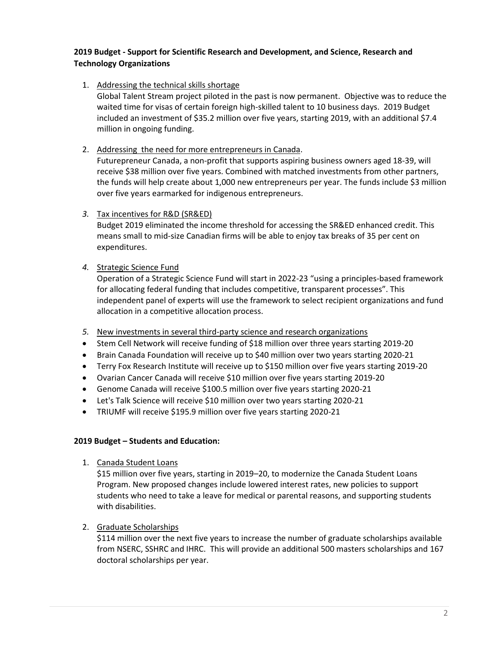# **2019 Budget - Support for Scientific Research and Development, and Science, Research and Technology Organizations**

1. Addressing the technical skills shortage

Global Talent Stream project piloted in the past is now permanent. Objective was to reduce the waited time for visas of certain foreign high-skilled talent to 10 business days. 2019 Budget included an investment of \$35.2 million over five years, starting 2019, with an additional \$7.4 million in ongoing funding.

2. Addressing the need for more entrepreneurs in Canada.

Futurepreneur Canada, a non-profit that supports aspiring business owners aged 18-39, will receive \$38 million over five years. Combined with matched investments from other partners, the funds will help create about 1,000 new entrepreneurs per year. The funds include \$3 million over five years earmarked for indigenous entrepreneurs.

*3.* Tax incentives for R&D (SR&ED)

Budget 2019 eliminated the income threshold for accessing the SR&ED enhanced credit. This means small to mid-size Canadian firms will be able to enjoy tax breaks of 35 per cent on expenditures.

*4.* Strategic Science Fund

Operation of a Strategic Science Fund will start in 2022-23 "using a principles-based framework for allocating federal funding that includes competitive, transparent processes". This independent panel of experts will use the framework to select recipient organizations and fund allocation in a competitive allocation process.

- *5.* New investments in several third-party science and research organizations
- Stem Cell Network will receive funding of \$18 million over three years starting 2019-20
- Brain Canada Foundation will receive up to \$40 million over two years starting 2020-21
- Terry Fox Research Institute will receive up to \$150 million over five years starting 2019-20
- Ovarian Cancer Canada will receive \$10 million over five years starting 2019-20
- Genome Canada will receive \$100.5 million over five years starting 2020-21
- Let's Talk Science will receive \$10 million over two years starting 2020-21
- TRIUMF will receive \$195.9 million over five years starting 2020-21

### **2019 Budget – Students and Education:**

1. Canada Student Loans

\$15 million over five years, starting in 2019–20, to modernize the Canada Student Loans Program. New proposed changes include lowered interest rates, new policies to support students who need to take a leave for medical or parental reasons, and supporting students with disabilities.

2. Graduate Scholarships

\$114 million over the next five years to increase the number of graduate scholarships available from NSERC, SSHRC and IHRC. This will provide an additional 500 masters scholarships and 167 doctoral scholarships per year.